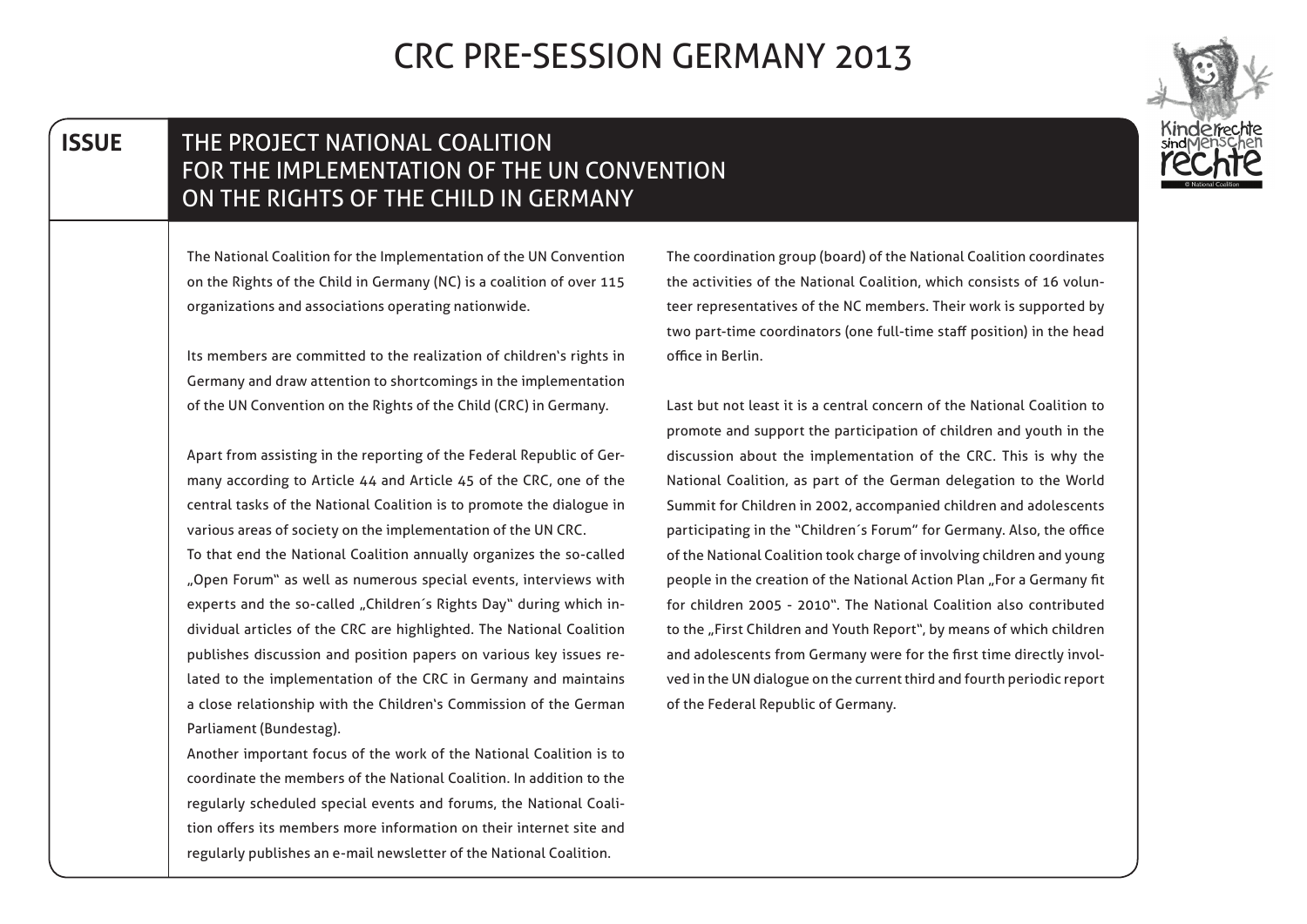| <b>ISSUE</b> | THE PROJECT NATIONAL COALITION<br>FOR THE IMPLEMENTATION OF THE UN CONVENTION<br>ON THE RIGHTS OF THE CHILD IN GERMANY |                                                                                                                                               |
|--------------|------------------------------------------------------------------------------------------------------------------------|-----------------------------------------------------------------------------------------------------------------------------------------------|
|              | The National Coalition for the Implementation of the UN Convention                                                     | The coordination group (board) of the National Coalition coordinates                                                                          |
|              | on the Rights of the Child in Germany (NC) is a coalition of over 115                                                  | the activities of the National Coalition, which consists of 16 volun-                                                                         |
|              | organizations and associations operating nationwide.                                                                   | teer representatives of the NC members. Their work is supported by<br>two part-time coordinators (one full-time staff position) in the head   |
|              | Its members are committed to the realization of children's rights in                                                   | office in Berlin.                                                                                                                             |
|              | Germany and draw attention to shortcomings in the implementation                                                       |                                                                                                                                               |
|              | of the UN Convention on the Rights of the Child (CRC) in Germany.                                                      | Last but not least it is a central concern of the National Coalition to<br>promote and support the participation of children and youth in the |
|              | Apart from assisting in the reporting of the Federal Republic of Ger-                                                  | discussion about the implementation of the CRC. This is why the                                                                               |
|              | many according to Article 44 and Article 45 of the CRC, one of the                                                     | National Coalition, as part of the German delegation to the World                                                                             |
|              | central tasks of the National Coalition is to promote the dialogue in                                                  | Summit for Children in 2002, accompanied children and adolescents                                                                             |
|              | various areas of society on the implementation of the UN CRC.                                                          | participating in the "Children's Forum" for Germany. Also, the office                                                                         |
|              | To that end the National Coalition annually organizes the so-called                                                    | of the National Coalition took charge of involving children and young                                                                         |
|              | "Open Forum" as well as numerous special events, interviews with                                                       | people in the creation of the National Action Plan "For a Germany fit                                                                         |
|              | experts and the so-called "Children's Rights Day" during which in-                                                     | for children 2005 - 2010". The National Coalition also contributed                                                                            |
|              | dividual articles of the CRC are highlighted. The National Coalition                                                   | to the "First Children and Youth Report", by means of which children                                                                          |
|              | publishes discussion and position papers on various key issues re-                                                     | and adolescents from Germany were for the first time directly invol-                                                                          |
|              | lated to the implementation of the CRC in Germany and maintains                                                        | ved in the UN dialogue on the current third and fourth periodic report                                                                        |
|              | a close relationship with the Children's Commission of the German                                                      | of the Federal Republic of Germany.                                                                                                           |
|              | Parliament (Bundestag).                                                                                                |                                                                                                                                               |
|              | Another important focus of the work of the National Coalition is to                                                    |                                                                                                                                               |
|              | coordinate the members of the National Coalition. In addition to the                                                   |                                                                                                                                               |
|              | regularly scheduled special events and forums, the National Coali-                                                     |                                                                                                                                               |
|              | tion offers its members more information on their internet site and                                                    |                                                                                                                                               |
|              | regularly publishes an e-mail newsletter of the National Coalition.                                                    |                                                                                                                                               |

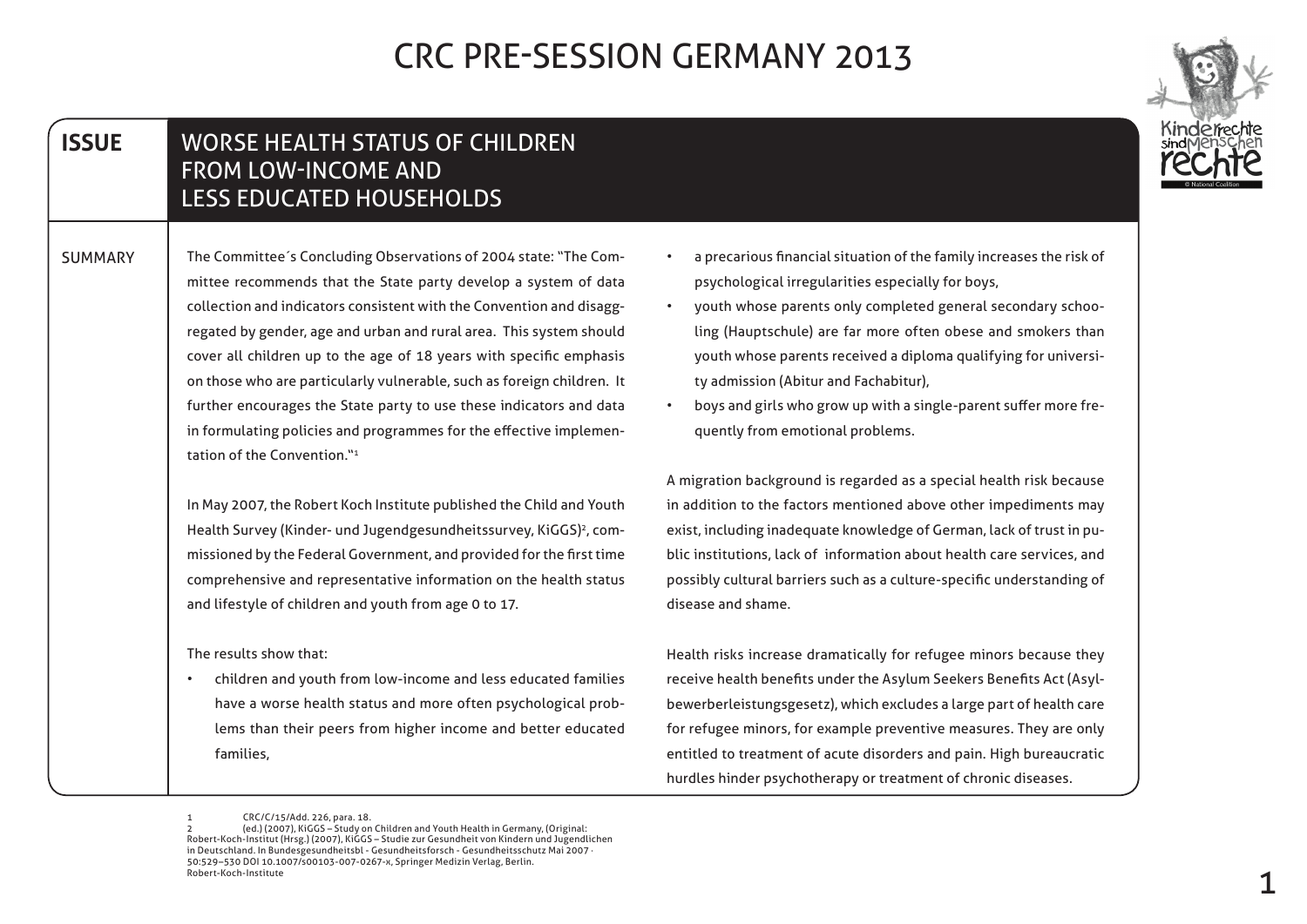

#### **ISSUE WORSE HEALTH STATUS OF CHILDREN** FROM LOW-INCOME AND LESS EDUCATED HOUSEHOLDS

mittee recommends that the State party develop a system of data SUMMARY | The Committee's Concluding Observations of 2004 state: "The Comregated by gender, age and urban and rural area. This system should collection and indicators consistent with the Convention and disaggcover all children up to the age of 18 years with specific emphasis on those who are particularly vulnerable, such as foreign children. It further encourages the State party to use these indicators and data in formulating policies and programmes for the effective implemen-<br>tation of the Convention."<del>'</del>

> In May 2007, the Robert Koch Institute published the Child and Youth Health Survey (Kinder- und Jugendgesundheitssurvey, KiGGS)<sup>2</sup>, com missioned by the Federal Government, and provided for the first time comprehensive and representative information on the health status and lifestyle of children and youth from age 0 to 17.

The results show that:

children and youth from low-income and less educated families lems than their peers from higher income and better educated have a worse health status and more often psychological prob-,families

- a precarious financial situation of the family increases the risk of psychological irregularities especially for boys,
- ling (Hauptschule) are far more often obese and smokers than • youth whose parents only completed general secondary schooyouth whose parents received a diploma qualifying for universi-<br>ty admission (Abitur and Fachabitur),
- boys and girls who grow up with a single-parent suffer more fre-<br>quently from emotional problems.

A migration background is regarded as a special health risk because in addition to the factors mentioned above other impediments may blic institutions, lack of information about health care services, and exist, including inadequate knowledge of German, lack of trust in pupossibly cultural barriers such as a culture-specific understanding of disease and shame.

Health risks increase dramatically for refugee minors because they bewerberleistungsgesetz), which excludes a large part of health care receive health benefits under the Asylum Seekers Benefits Act (Asylfor refugee minors, for example preventive measures. They are only entitled to treatment of acute disorders and pain. High bureaucratic hurdles hinder psychotherapy or treatment of chronic diseases.

<sup>1</sup> CRC/C/15/Add. 226, para. 18.

<sup>(</sup>ed.) (2007). KiGGS – Study on Children and Youth Health in Germany. (Original: Robert-Koch-Institut (Hrsg.) (2007), KiGGS - Studie zur Gesundheit von Kindern und Jugendlichen in Deutschland. In Bundesgesundheitsbl - Gesundheitsforsch - Gesundheitsschutz Mai 2007 50:529-530 DOI 10.1007/s00103-007-0267-x, Springer Medizin Verlag, Berlin. Pohert-Koch-Institute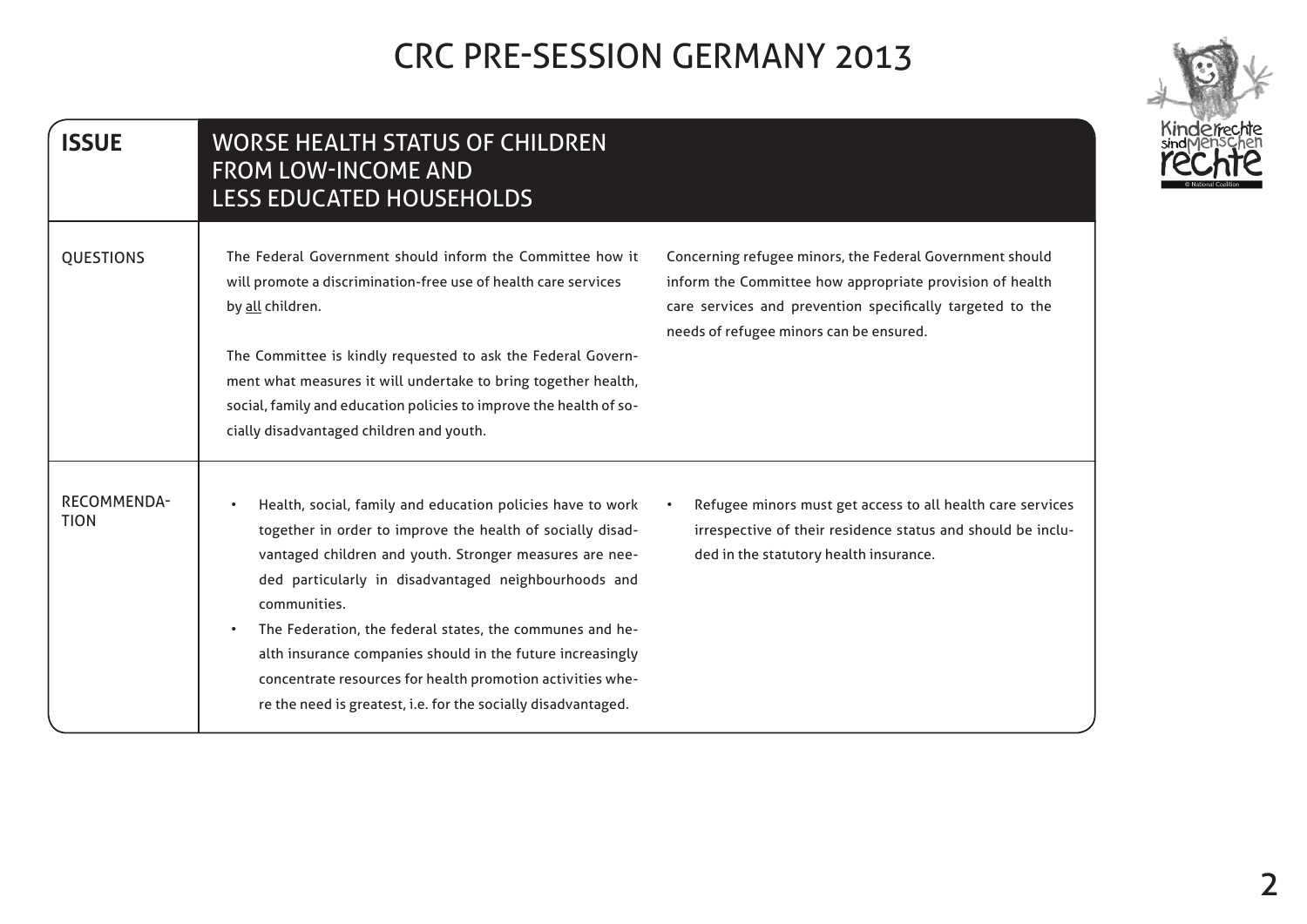| <b>ISSUE</b>                      | WORSE HEALTH STATUS OF CHILDREN<br><b>FROM LOW-INCOME AND</b><br><b>LESS EDUCATED HOUSEHOLDS</b>                                                                                                                                                                                                                                                                                                                                                                                                                     |                                                                                                                                                                                                                              |
|-----------------------------------|----------------------------------------------------------------------------------------------------------------------------------------------------------------------------------------------------------------------------------------------------------------------------------------------------------------------------------------------------------------------------------------------------------------------------------------------------------------------------------------------------------------------|------------------------------------------------------------------------------------------------------------------------------------------------------------------------------------------------------------------------------|
| <b>QUESTIONS</b>                  | The Federal Government should inform the Committee how it<br>will promote a discrimination-free use of health care services<br>by all children.<br>The Committee is kindly requested to ask the Federal Govern-<br>ment what measures it will undertake to bring together health,<br>social, family and education policies to improve the health of so-<br>cially disadvantaged children and youth.                                                                                                                  | Concerning refugee minors, the Federal Government should<br>inform the Committee how appropriate provision of health<br>care services and prevention specifically targeted to the<br>needs of refugee minors can be ensured. |
| <b>RECOMMENDA-</b><br><b>TION</b> | Health, social, family and education policies have to work<br>together in order to improve the health of socially disad-<br>vantaged children and youth. Stronger measures are nee-<br>ded particularly in disadvantaged neighbourhoods and<br>communities.<br>The Federation, the federal states, the communes and he-<br>alth insurance companies should in the future increasingly<br>concentrate resources for health promotion activities whe-<br>re the need is greatest, i.e. for the socially disadvantaged. | Refugee minors must get access to all health care services<br>irrespective of their residence status and should be inclu-<br>ded in the statutory health insurance.                                                          |

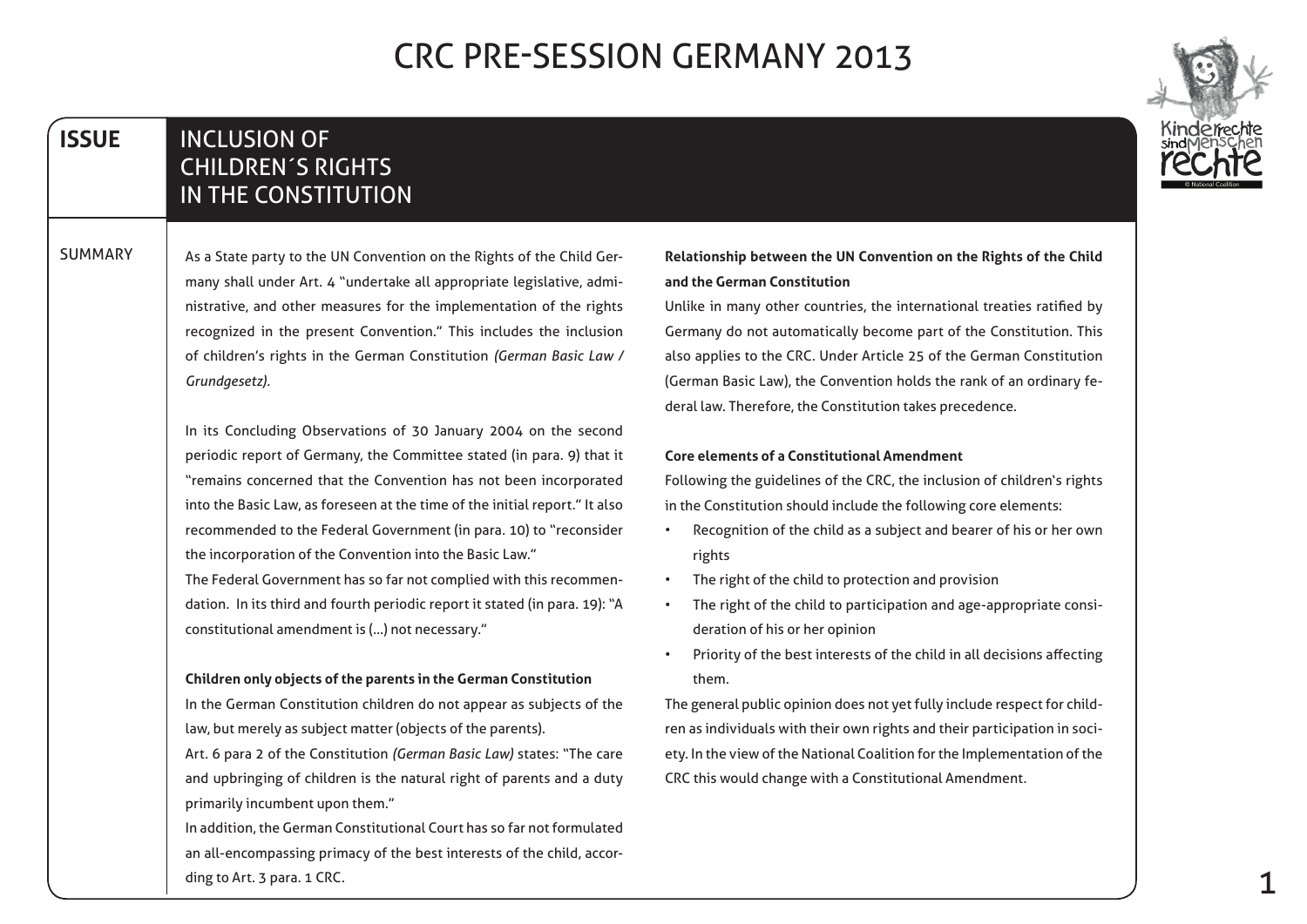#### **ISSUE INCLUSION OF CHILDREN'S RIGHTS** IN THE CONSTITUTION

**SUMMARY** 



In its Concluding Observations of 30 January 2004 on the second periodic report of Germany, the Committee stated (in para. 9) that it "remains concerned that the Convention has not been incorporated into the Basic Law, as foreseen at the time of the initial report." It also recommended to the Federal Government (in para. 10) to "reconsider the incorporation of the Convention into the Basic Law."

dation. In its third and fourth periodic report it stated (in para. 19): "A The Federal Government has so far not complied with this recommenconstitutional amendment is (...) not necessary."

#### **Children only objects of the parents in the German Constitution**

In the German Constitution children do not appear as subjects of the law, but merely as subject matter (objects of the parents).

Art. 6 para 2 of the Constitution (German Basic Law) states: "The care and upbringing of children is the natural right of parents and a duty primarily incumbent upon them."

In addition, the German Constitutional Court has so far not formulated an all-encompassing primacy of the best interests of the child, accor-<br>ding to Art. 3 para. 1 CRC.

#### **Relationship between the UN Convention on the Rights of the Child and the German Constitution**

Unlike in many other countries, the international treaties ratified by Germany do not automatically become part of the Constitution. This also applies to the CRC. Under Article 25 of the German Constitution (German Basic Law), the Convention holds the rank of an ordinary fe-<br>deral law. Therefore, the Constitution takes precedence.

#### **Core elements of a Constitutional Amendment**

Following the guidelines of the CRC, the inclusion of children's rights in the Constitution should include the following core elements:

- Recognition of the child as a subject and bearer of his or her own rights
- The right of the child to protection and provision
- The right of the child to participation and age-appropriate consi-<br>deration of his or her opinion
- Priority of the best interests of the child in all decisions affecting them.

ety. In the view of the National Coalition for the Implementation of the ren as individuals with their own rights and their participation in soci-The general public opinion does not yet fully include respect for child-CRC this would change with a Constitutional Amendment.

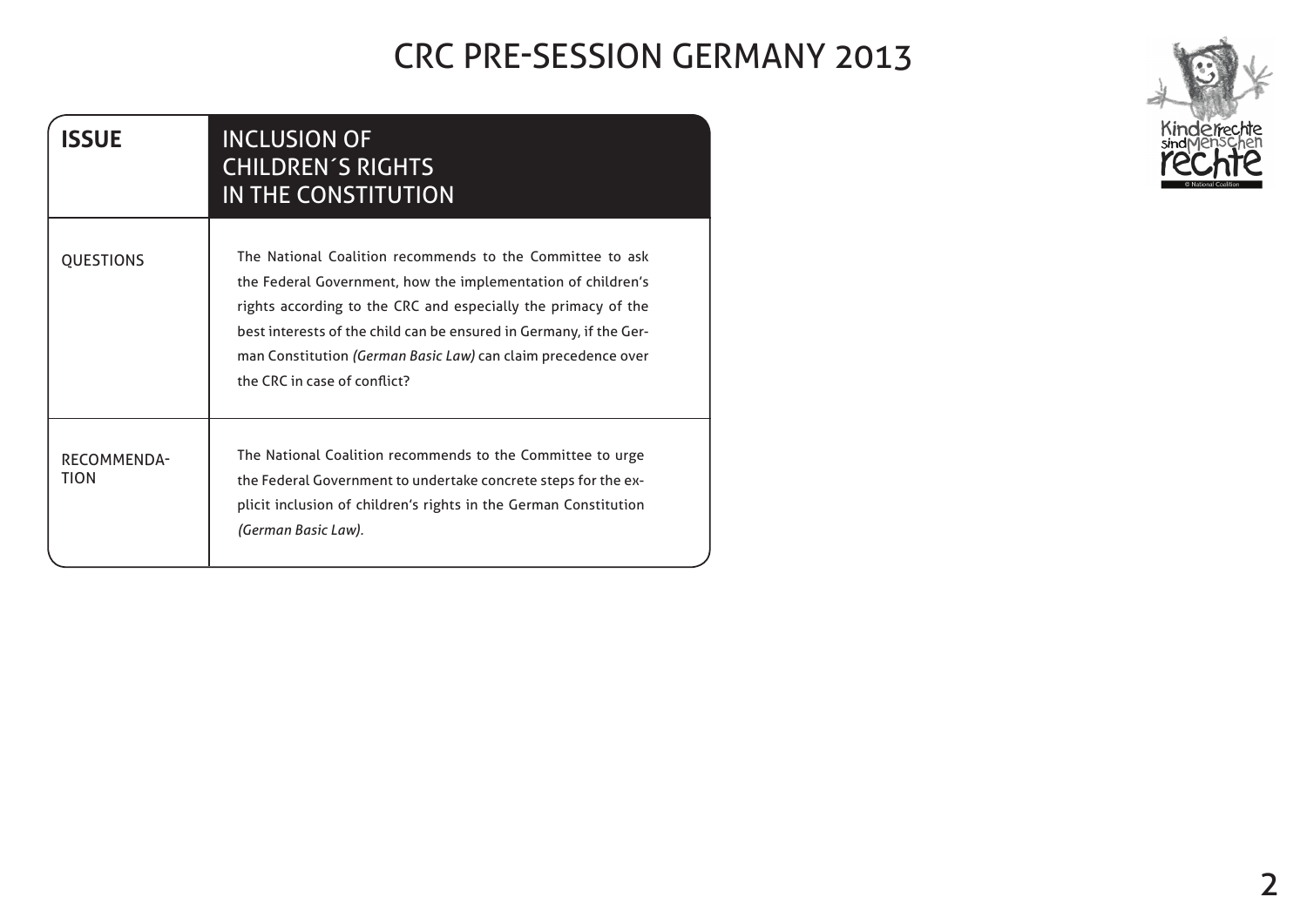| <b>ISSUE</b>               | <b>INCLUSION OF</b><br><b>CHILDREN'S RIGHTS</b><br>IN THE CONSTITUTION                                                                                                                                                                                                                                                                                            |
|----------------------------|-------------------------------------------------------------------------------------------------------------------------------------------------------------------------------------------------------------------------------------------------------------------------------------------------------------------------------------------------------------------|
| <b>QUESTIONS</b>           | The National Coalition recommends to the Committee to ask<br>the Federal Government, how the implementation of children's<br>rights according to the CRC and especially the primacy of the<br>best interests of the child can be ensured in Germany, if the Ger-<br>man Constitution (German Basic Law) can claim precedence over<br>the CRC in case of conflict? |
| <b>RECOMMENDA-</b><br>TION | The National Coalition recommends to the Committee to urge<br>the Federal Government to undertake concrete steps for the ex-<br>plicit inclusion of children's rights in the German Constitution<br>(German Basic Law).                                                                                                                                           |

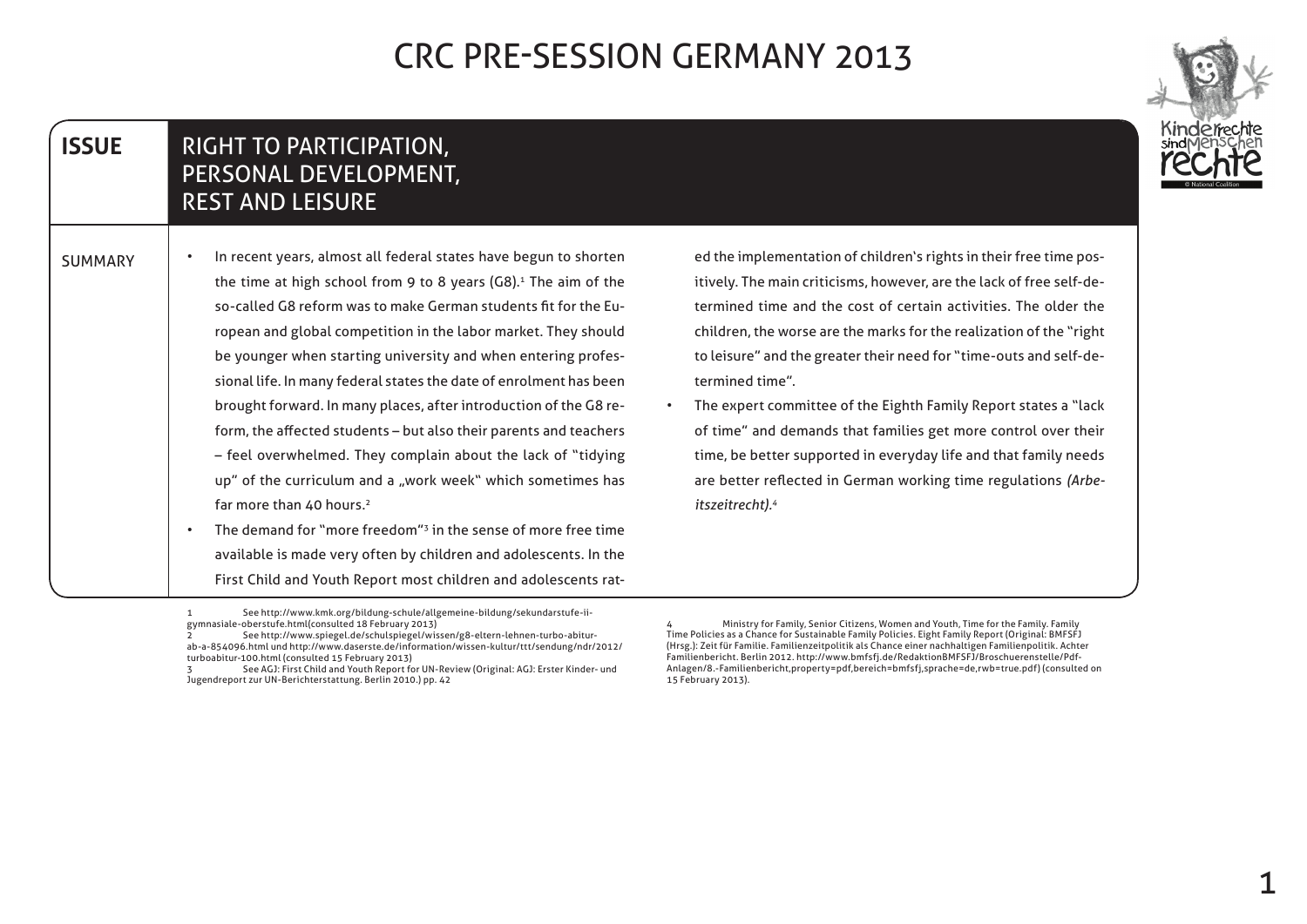

#### RIGHT TO PARTICIPATION, PERSONAL DEVELOPMENT, **REST AND LEISURE ISSUE**

In recent years, almost all federal states have begun to shorten the time at high school from 9 to 8 years  $(G8)^{1}$ . The aim of the ropean and global competition in the labor market. They should so-called G8 reform was to make German students fit for the Eusional life. In many federal states the date of enrolment has been be younger when starting university and when entering profesform, the affected students – but also their parents and teachers brought forward. In many places, after introduction of the G8 re- $-$  feel overwhelmed. They complain about the lack of "tidying up" of the curriculum and a "work week" which sometimes has far more than 40 hours.<sup>2</sup> The demand for "more freedom" $3$  in the sense of more free time **SUMMARY** 

available is made very often by children and adolescents. In the

1 See http://www.kmk.org/bildung-schule/allgemeine-bildung/sekundarstufe-ii-<br>gymnasiale-oberstufe.html(consulted 18 February 2013) ii-sekundarstufe/bildung-allgemeine/schule-bildung/org.kmk.www://http See -1rat adolescents and children most Report Youth and Child First

termined time and the cost of certain activities. The older the itively. The main criticisms, however, are the lack of free self-deed the implementation of children's rights in their free time poschildren, the worse are the marks for the realization of the "right" to leisure" and the greater their need for "time-outs and self-de-<br>termined time".

• The expert committee of the Eighth Family Report states a "lack of time" and demands that families get more control over their time, be better supported in everyday life and that family needs are better reflected in German working time regulations *(Arbe-*<br>*itszeitrecht).<sup>4</sup>* 

ab-a-854096.html und http://www.daserste.de/information/wissen-kultur/ttt/sendung/ndr/2012/ See http://www.spiegel.de/schulspiegel/wissen/g8-eltern-lehnen-turbo-abiturturboabitur-100.html (consulted 15 February 2013)

See AGJ: First Child and Youth Report for UN-Review (Original: AGJ: Erster Kinder- und Jugendreport zur UN-Berichterstattung. Berlin 2010.) pp. 42

Ministry for Family, Senior Citizens, Women and Youth, Time for the Family. Family Time Policies as a Chance for Sustainable Family Policies. Eight Family Report (Original: BMFSFJ (Hrsg.): Zeit für Familie. Familienzeitpolitik als Chance einer nachhaltigen Familienpolitik. Achter Anlagen/8.-Familienbericht,property=pdf,bereich=bmfsfj,sprache=de,rwb=true.pdf) (consulted on Familienbericht. Berlin 2012. http://www.bmfsfj.de/RedaktionBMFSFJ/Broschuerenstelle/Pdf-15 February 2013).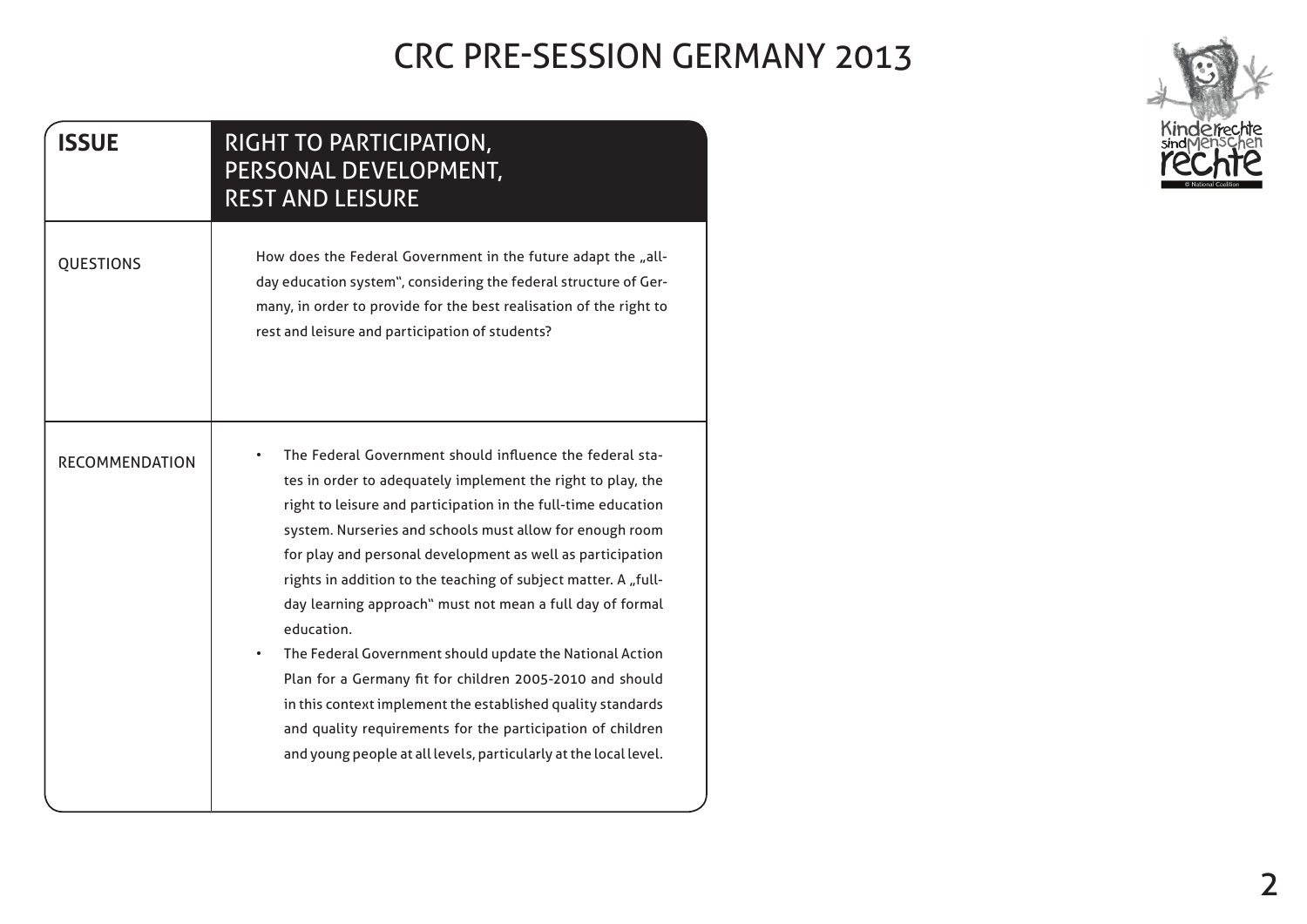| <b>ISSUE</b>          | RIGHT TO PARTICIPATION,<br>PERSONAL DEVELOPMENT,<br><b>REST AND LEISURE</b>                                                                                                                                                                                                                                                                                                                                                                                                                                                                                                                                                                                                                                                                                                              |
|-----------------------|------------------------------------------------------------------------------------------------------------------------------------------------------------------------------------------------------------------------------------------------------------------------------------------------------------------------------------------------------------------------------------------------------------------------------------------------------------------------------------------------------------------------------------------------------------------------------------------------------------------------------------------------------------------------------------------------------------------------------------------------------------------------------------------|
| <b>QUESTIONS</b>      | How does the Federal Government in the future adapt the "all-<br>day education system", considering the federal structure of Ger-<br>many, in order to provide for the best realisation of the right to<br>rest and leisure and participation of students?                                                                                                                                                                                                                                                                                                                                                                                                                                                                                                                               |
| <b>RECOMMENDATION</b> | The Federal Government should influence the federal sta-<br>tes in order to adequately implement the right to play, the<br>right to leisure and participation in the full-time education<br>system. Nurseries and schools must allow for enough room<br>for play and personal development as well as participation<br>rights in addition to the teaching of subject matter. A "full-<br>day learning approach" must not mean a full day of formal<br>education.<br>The Federal Government should update the National Action<br>Plan for a Germany fit for children 2005-2010 and should<br>in this context implement the established quality standards<br>and quality requirements for the participation of children<br>and young people at all levels, particularly at the local level. |

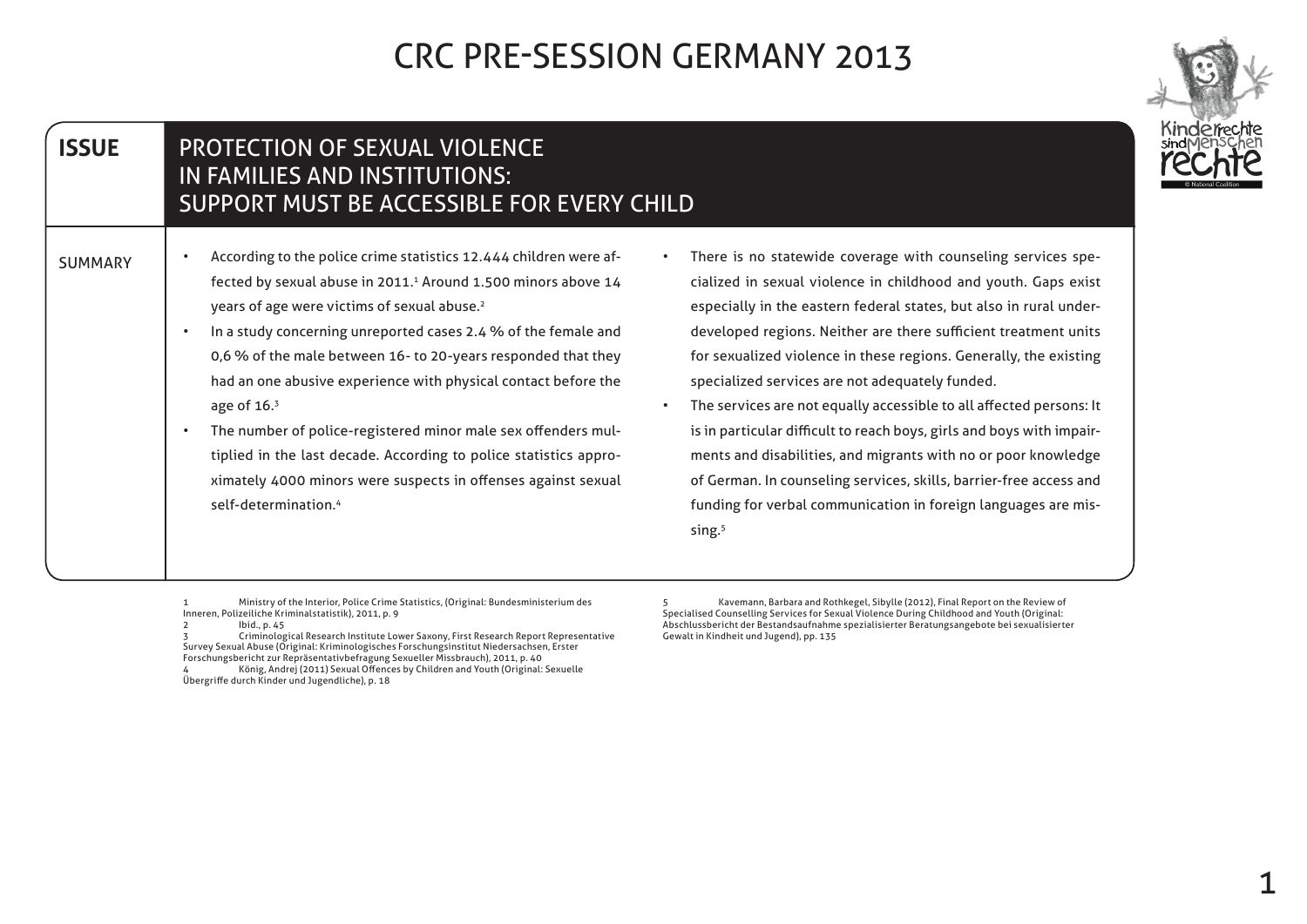| <b>ISSUE</b>   | <b>PROTECTION OF SEXUAL VIOLENCE</b><br>IN FAMILIES AND INSTITUTIONS:<br>SUPPORT MUST BE ACCESSIBLE FOR EVERY CHILD                                                                                                                                                                                                                                                                                                                                                                                                                                                                                                                                                                                              |                                                                                                                                                                                                                                                                                                                                                                                                                                                                                                                                                                                                                                                                                                                                                                                 |
|----------------|------------------------------------------------------------------------------------------------------------------------------------------------------------------------------------------------------------------------------------------------------------------------------------------------------------------------------------------------------------------------------------------------------------------------------------------------------------------------------------------------------------------------------------------------------------------------------------------------------------------------------------------------------------------------------------------------------------------|---------------------------------------------------------------------------------------------------------------------------------------------------------------------------------------------------------------------------------------------------------------------------------------------------------------------------------------------------------------------------------------------------------------------------------------------------------------------------------------------------------------------------------------------------------------------------------------------------------------------------------------------------------------------------------------------------------------------------------------------------------------------------------|
| <b>SUMMARY</b> | According to the police crime statistics 12.444 children were af-<br>$\bullet$<br>fected by sexual abuse in 2011. <sup>1</sup> Around 1.500 minors above 14<br>years of age were victims of sexual abuse. <sup>2</sup><br>In a study concerning unreported cases 2.4 % of the female and<br>$\bullet$<br>0,6 % of the male between 16- to 20-years responded that they<br>had an one abusive experience with physical contact before the<br>age of $163$<br>The number of police-registered minor male sex offenders mul-<br>$\bullet$<br>tiplied in the last decade. According to police statistics appro-<br>ximately 4000 minors were suspects in offenses against sexual<br>self-determination. <sup>4</sup> | There is no statewide coverage with counseling services spe-<br>cialized in sexual violence in childhood and youth. Gaps exist<br>especially in the eastern federal states, but also in rural under-<br>developed regions. Neither are there sufficient treatment units<br>for sexualized violence in these regions. Generally, the existing<br>specialized services are not adequately funded.<br>The services are not equally accessible to all affected persons: It<br>is in particular difficult to reach boys, girls and boys with impair-<br>ments and disabilities, and migrants with no or poor knowledge<br>of German. In counseling services, skills, barrier-free access and<br>funding for verbal communication in foreign languages are mis-<br>sing. <sup>5</sup> |

1 Ministry of the Interior, Police Crime Statistics, (Original: Bundesministerium des Inneren, Polizeiliche Kriminalstatistik), 2011, p. 9<br>2011, p. 9

2 Ibid., p. 45<br>3 Criminological Research Institute Lower Saxony, First Research Report Representative<br>Survey Sexual Abuse (Original: Kriminologisches Forschungsinstitut Niedersachsen, Erster<br>Forschungsbericht zur Repräsent Übergriffe durch Kinder und Jugendliche), p. 18

5 Kavemann, Barbara and Rothkegel, Sibylle (2012), Final Report on the Review of Specialised Counselling Services for Sexual Violence During Childhood and Youth (Original: Abschlussbericht der Bestandsaufnahme spezialisierter Beratungsangebote bei sexualisierter Gewalt in Kindheit und Jugend), pp. 135

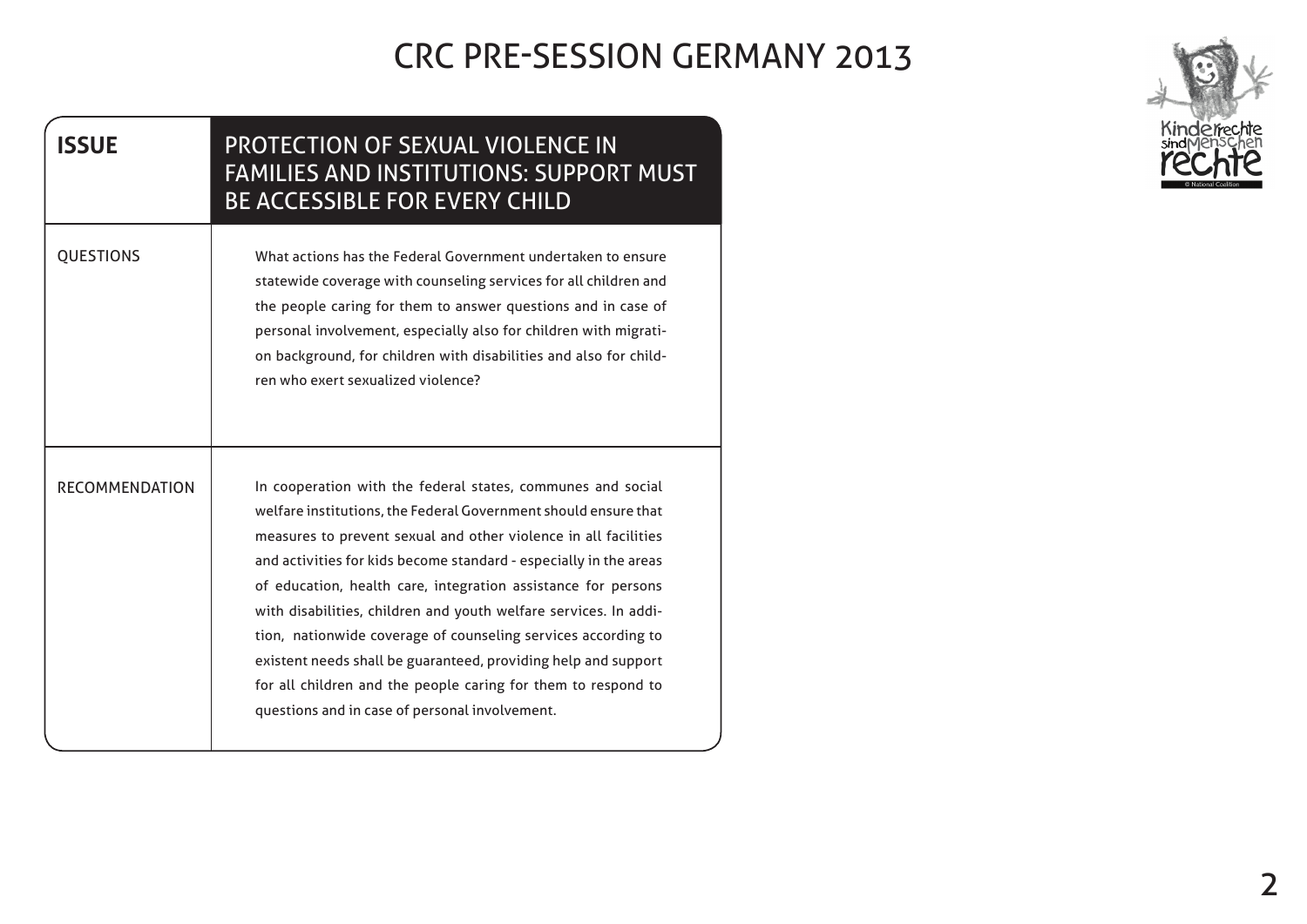| <b>ISSUE</b>          | <b>PROTECTION OF SEXUAL VIOLENCE IN</b><br><b>FAMILIES AND INSTITUTIONS: SUPPORT MUST</b><br><b>BE ACCESSIBLE FOR EVERY CHILD</b>                                                                                                                                                                                                                                                                                                                                                                                                                                                                                                                                 |
|-----------------------|-------------------------------------------------------------------------------------------------------------------------------------------------------------------------------------------------------------------------------------------------------------------------------------------------------------------------------------------------------------------------------------------------------------------------------------------------------------------------------------------------------------------------------------------------------------------------------------------------------------------------------------------------------------------|
| <b>QUESTIONS</b>      | What actions has the Federal Government undertaken to ensure<br>statewide coverage with counseling services for all children and<br>the people caring for them to answer questions and in case of<br>personal involvement, especially also for children with migrati-<br>on background, for children with disabilities and also for child-<br>ren who exert sexualized violence?                                                                                                                                                                                                                                                                                  |
| <b>RECOMMENDATION</b> | In cooperation with the federal states, communes and social<br>welfare institutions, the Federal Government should ensure that<br>measures to prevent sexual and other violence in all facilities<br>and activities for kids become standard - especially in the areas<br>of education, health care, integration assistance for persons<br>with disabilities, children and youth welfare services. In addi-<br>tion, nationwide coverage of counseling services according to<br>existent needs shall be guaranteed, providing help and support<br>for all children and the people caring for them to respond to<br>questions and in case of personal involvement. |

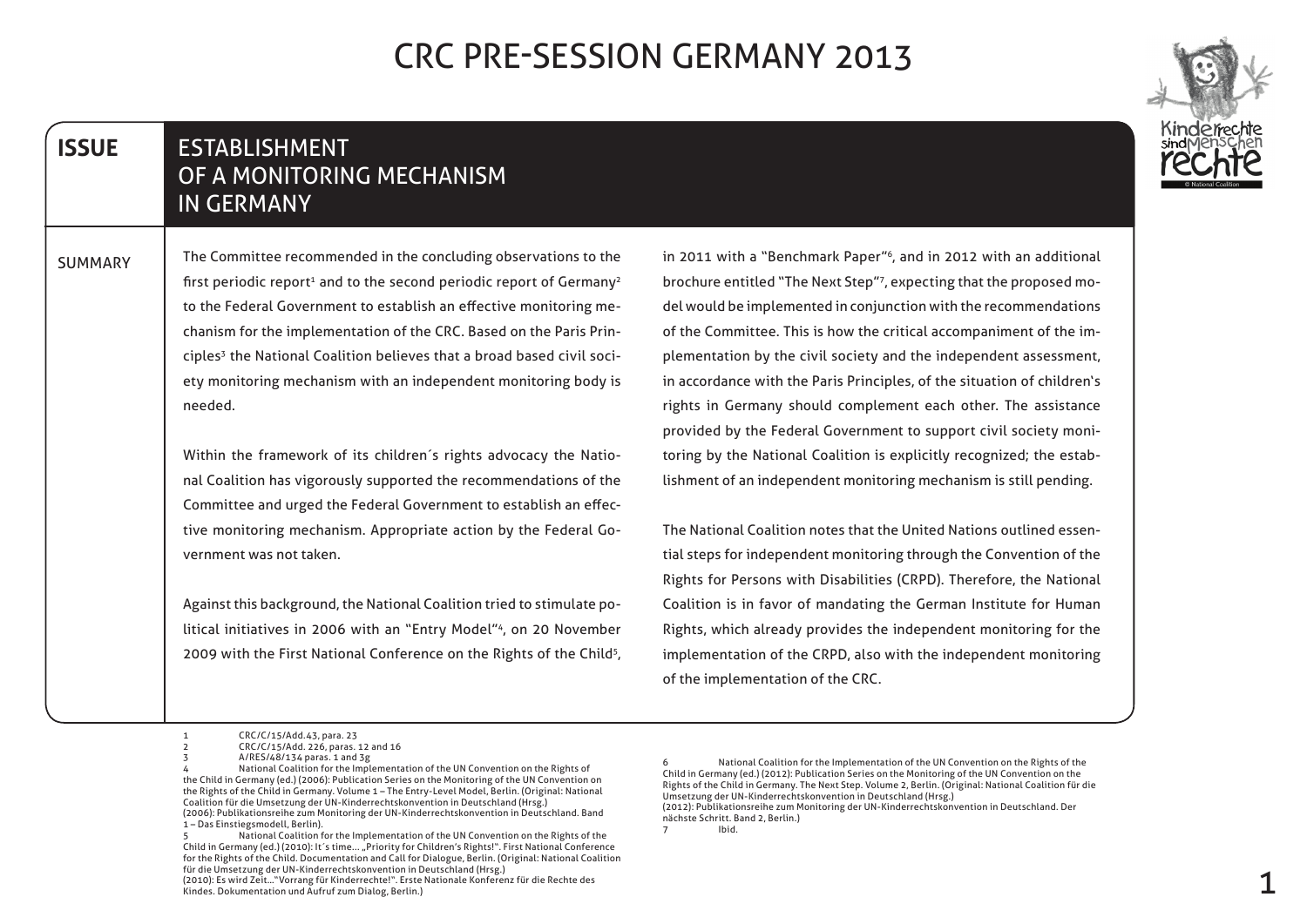#### **ESTABLISHMENT** OF A MONITORING MECHANISM **IN GERMANY ISSUE**

The Committee recommended in the concluding observations to the first periodic report<sup>1</sup> and to the second periodic report of Germany<sup>2</sup> ety monitoring mechanism with an independent monitoring body is ciples<sup>3</sup> the National Coalition believes that a broad based civil socichanism for the implementation of the CRC. Based on the Paris Printo the Federal Government to establish an effective monitoring me-.needed **SUMMARY** 

> nal Coalition has vigorously supported the recommendations of the Within the framework of its children's rights advocacy the Natiotive monitoring mechanism. Appropriate action by the Federal Go-<br>vernment was not taken. Committee and urged the Federal Government to establish an effec-<br>tive monitoring mechanism. Appropriate action by the Federal Go-Committee and urged the Federal Government to establish an effec-

> litical initiatives in 2006 with an "Entry Model"<sup>4</sup>, on 20 November Against this background, the National Coalition tried to stimulate po-2009 with the First National Conference on the Rights of the Child<sup>5</sup>,

in 2011 with a "Benchmark Paper"<sup>6</sup>, and in 2012 with an additional del would be implemented in conjunction with the recommendations brochure entitled "The Next Step"<sup>7</sup>, expecting that the proposed moplementation by the civil society and the independent assessment, of the Committee. This is how the critical accompaniment of the imin accordance with the Paris Principles, of the situation of children's rights in Germany should complement each other. The assistance lishment of an independent monitoring mechanism is still pending. toring by the National Coalition is explicitly recognized; the estabprovided by the Federal Government to support civil society moni-

tial steps for independent monitoring through the Convention of the The National Coalition notes that the United Nations outlined essen-Rights for Persons with Disabilities (CRPD). Therefore, the National Coalition is in favor of mandating the German Institute for Human Rights, which already provides the independent monitoring for the implementation of the CRPD, also with the independent monitoring of the implementation of the CRC.

National Coalition for the Implementation of the UN Convention on the Rights of the Child in Germany (ed.) (2010): It's time... "Priority for Children's Rights!". First National Conference for the Rights of the Child. Documentation and Call for Dialogue, Berlin. (Original: National Coalition für die Umsetzung der UN-Kinderrechtskonvention in Deutschland (Hrsg.)

7 Ibid.

<sup>1</sup> CRC/C/15/Add.43, para. 23

<sup>2</sup> CRC/C/15/Add. 226, paras. 12 and 16

 $A/RES/48/134$  paras. 1 and 3g

National Coalition for the Implementation of the UN Convention on the Rights of the Child in Germany (ed.) (2006): Publication Series on the Monitoring of the UN Convention on the Rights of the Child in Germany. Volume 1 - The Entry-Level Model, Berlin. (Original: National Coalition für die Umsetzung der UN-Kinderrechtskonvention in Deutschland (Hrsg.) (2006): Publikationsreihe zum Monitoring der UN-Kinderrechtskonvention in Deutschland. Band 1 - Das Einstiegsmodell, Berlin).

<sup>(2010):</sup> Es wird Zeit..."Vorrang für Kinderrechte!". Erste Nationale Konferenz für die Rechte des Kindes. Dokumentation und Aufruf zum Dialog, Berlin.)

for the National Coalition for the Implementation of the UN Convention on the Rights of the Child in Germany (ed.) (2012): Publication Series on the Monitoring of the UN Convention on the Rights of the Child in Germany. The Next Step. Volume 2, Berlin. (Original: National Coalition für die Umsetzung der UN-Kinderrechtskonvention in Deutschland (Hrsg.) (2012): Publikationsreihe zum Monitoring der UN-Kinderrechtskonvention in Deutschland. Der

nächste Schritt. Band 2, Berlin.)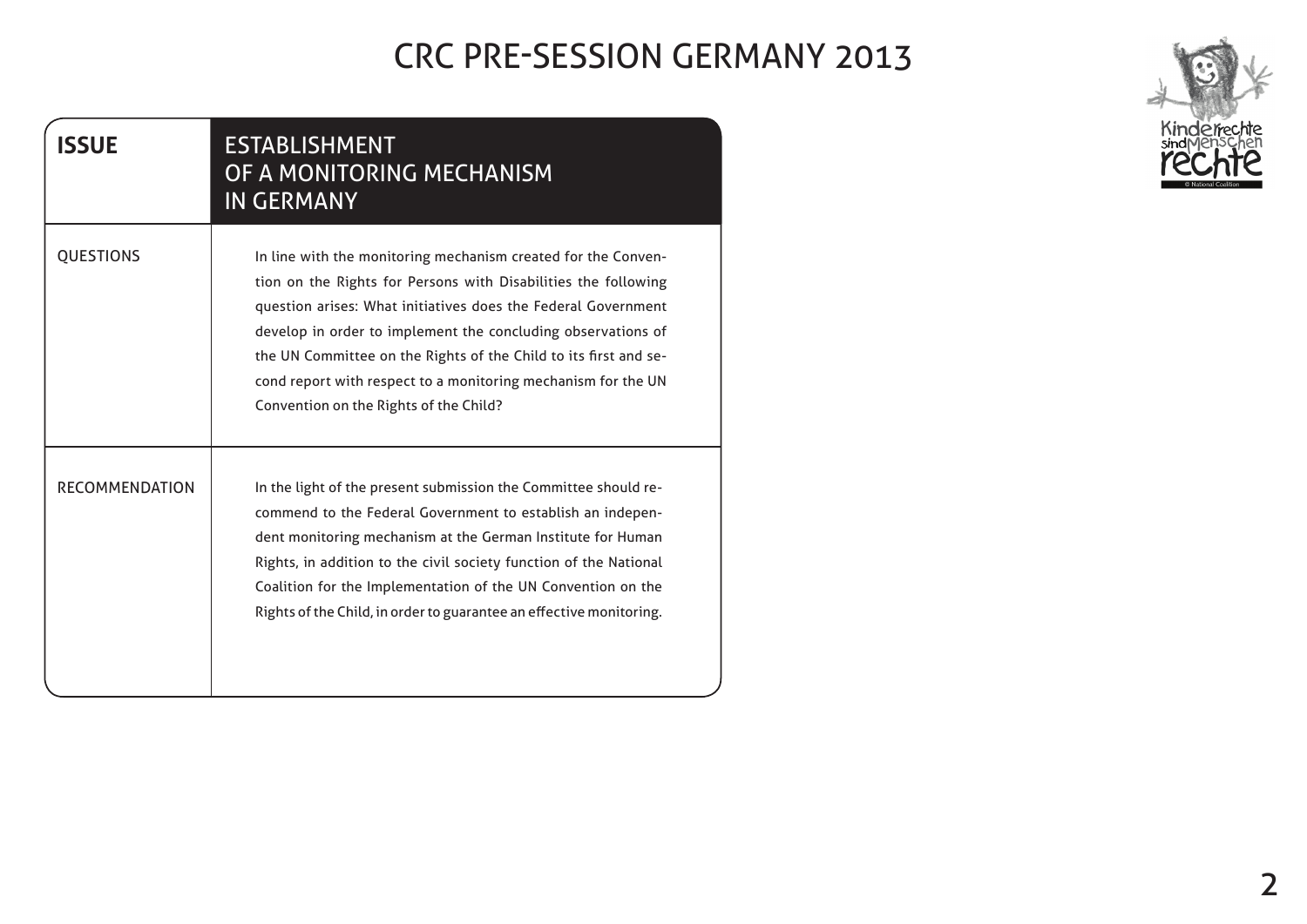| <b>ISSUE</b>          | <b>ESTABLISHMENT</b><br>OF A MONITORING MECHANISM<br><b>IN GERMANY</b>                                                                                                                                                                                                                                                                                                                                                                          |
|-----------------------|-------------------------------------------------------------------------------------------------------------------------------------------------------------------------------------------------------------------------------------------------------------------------------------------------------------------------------------------------------------------------------------------------------------------------------------------------|
| <b>QUESTIONS</b>      | In line with the monitoring mechanism created for the Conven-<br>tion on the Rights for Persons with Disabilities the following<br>question arises: What initiatives does the Federal Government<br>develop in order to implement the concluding observations of<br>the UN Committee on the Rights of the Child to its first and se-<br>cond report with respect to a monitoring mechanism for the UN<br>Convention on the Rights of the Child? |
| <b>RECOMMENDATION</b> | In the light of the present submission the Committee should re-<br>commend to the Federal Government to establish an indepen-<br>dent monitoring mechanism at the German Institute for Human<br>Rights, in addition to the civil society function of the National<br>Coalition for the Implementation of the UN Convention on the<br>Rights of the Child, in order to guarantee an effective monitoring.                                        |

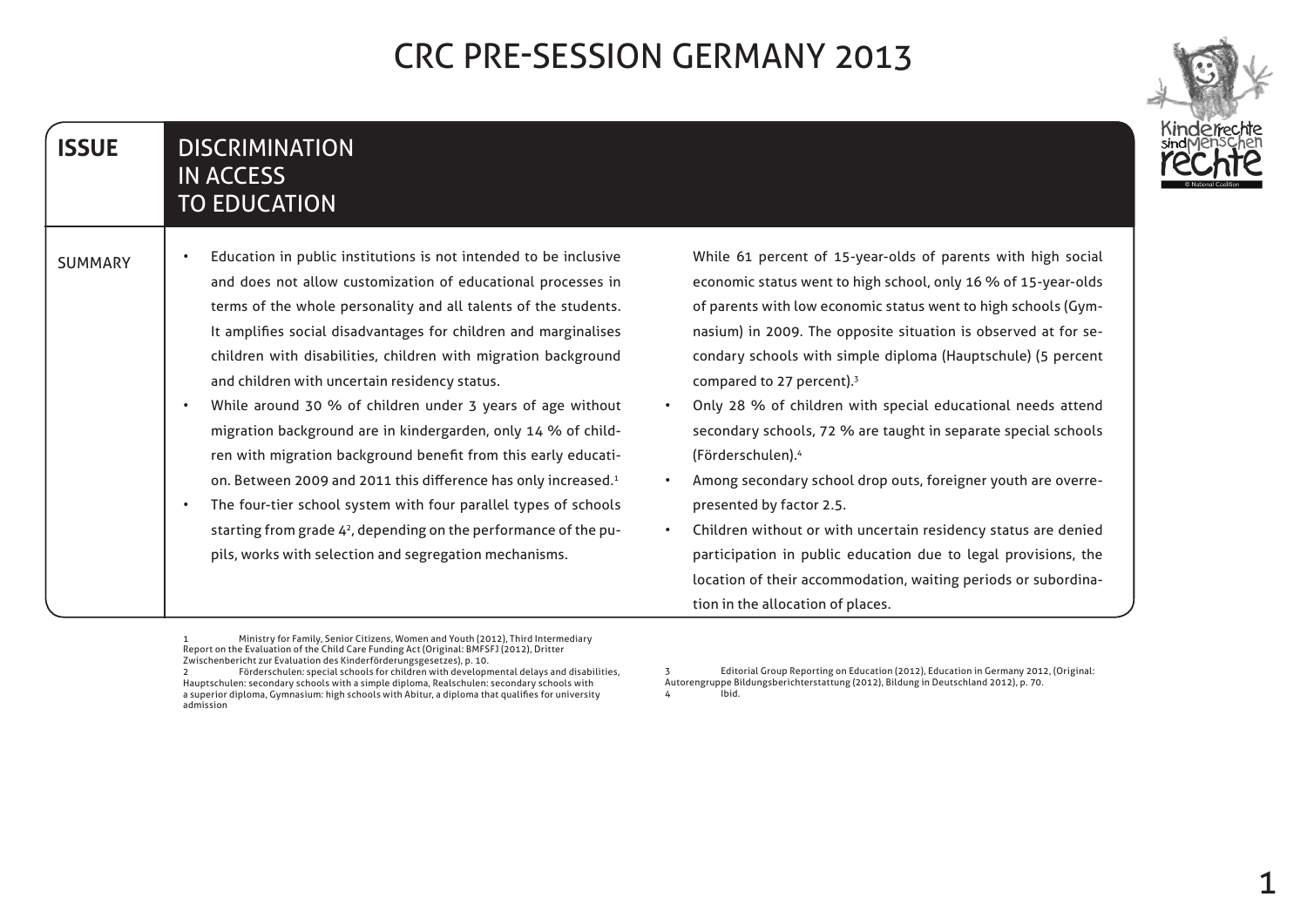#### **DISCRIMINATION IN ACCESS TO EDUCATION ISSUE**

| <b>SUMMARY</b> | Education in public institutions is not intended to be inclusive |
|----------------|------------------------------------------------------------------|
|                | and does not allow customization of educational processes in     |
|                | terms of the whole personality and all talents of the students.  |
|                | It amplifies social disadvantages for children and marginalises  |
|                | children with disabilities, children with migration background   |
|                | and children with uncertain residency status.                    |
|                | While around 30 % of children under 3 years of age without       |
|                | migration background are in kindergarden, only 14 % of child-    |
|                |                                                                  |

- on. Between 2009 and 2011 this difference has only increased.<sup>1</sup> ren with migration background benefit from this early educati-
- The four-tier school system with four parallel types of schools pils, works with selection and segregation mechanisms. starting from grade  $4<sup>2</sup>$ , depending on the performance of the pu-

While 61 percent of 15-year-olds of parents with high social economic status went to high school, only 16 % of 15-year-olds condary schools with simple diploma (Hauptschule) (5 percent nasium) in 2009. The opposite situation is observed at for seof parents with low economic status went to high schools (Gymcompared to 27 percent). $3$ 

- Only 28 % of children with special educational needs attend secondary schools, 72 % are taught in separate special schools (Förderschulen).<sup>4</sup>
- Among secondary school drop outs, foreigner youth are overre-<br>presented by factor 2.5.
- Children without or with uncertain residency status are denied participation in public education due to legal provisions, the location of their accommodation, waiting periods or subordina-<br>tion in the allocation of places.

Ministry for Family, Senior Citizens, Women and Youth (2012), Third Intermediary Report on the Evaluation of the Child Care Funding Act (Original: BMFSFJ (2012), Dritter Zwischenbericht zur Evaluation des Kinderförderungsgesetzes), p. 10.

3 Editorial Group Reporting on Education (2012), Education in Germany 2012, (Original: Autorengruppe Bildungsberichterstattung (2012), Bildung in Deutschland 2012), p. 70. hid 4



<sup>2</sup> Förderschulen: special schools for children with developmental delays and disabilities, Hauptschulen: secondary schools with a simple diploma, Realschulen: secondary schools with a superior diploma, Gymnasium: high schools with Abitur, a diploma that qualifies for university admission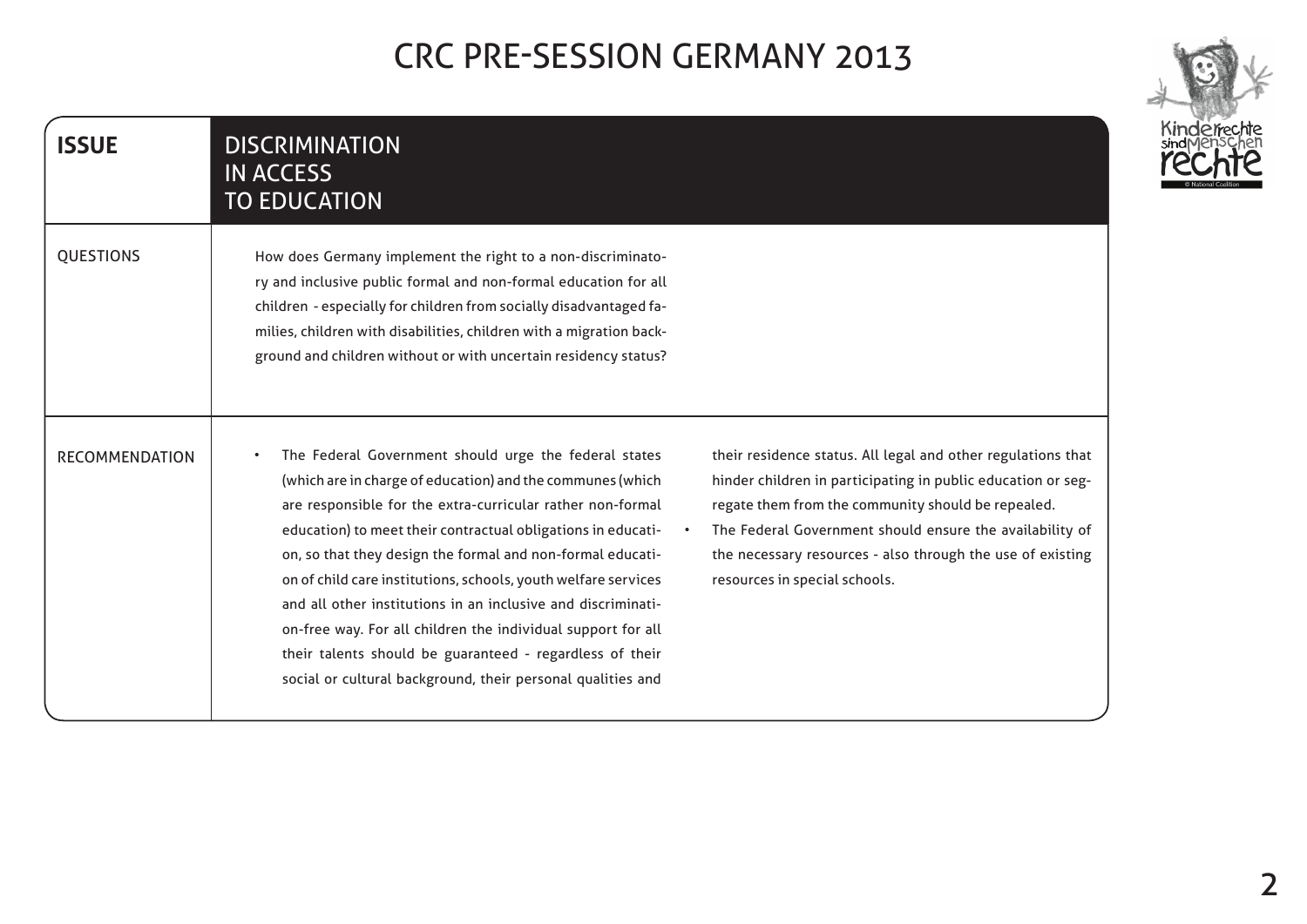| <b>ISSUE</b>          | <b>DISCRIMINATION</b><br><b>IN ACCESS</b><br><b>TO EDUCATION</b>                                                                                                                                                                                                                                                                                                                                                                                                                                                                                                                                                                                                                                                                                                                                                                                                                                                                                                                              |
|-----------------------|-----------------------------------------------------------------------------------------------------------------------------------------------------------------------------------------------------------------------------------------------------------------------------------------------------------------------------------------------------------------------------------------------------------------------------------------------------------------------------------------------------------------------------------------------------------------------------------------------------------------------------------------------------------------------------------------------------------------------------------------------------------------------------------------------------------------------------------------------------------------------------------------------------------------------------------------------------------------------------------------------|
| <b>QUESTIONS</b>      | How does Germany implement the right to a non-discriminato-<br>ry and inclusive public formal and non-formal education for all<br>children - especially for children from socially disadvantaged fa-<br>milies, children with disabilities, children with a migration back-<br>ground and children without or with uncertain residency status?                                                                                                                                                                                                                                                                                                                                                                                                                                                                                                                                                                                                                                                |
| <b>RECOMMENDATION</b> | The Federal Government should urge the federal states<br>their residence status. All legal and other regulations that<br>(which are in charge of education) and the communes (which<br>hinder children in participating in public education or seg-<br>are responsible for the extra-curricular rather non-formal<br>regate them from the community should be repealed.<br>education) to meet their contractual obligations in educati-<br>The Federal Government should ensure the availability of<br>on, so that they design the formal and non-formal educati-<br>the necessary resources - also through the use of existing<br>on of child care institutions, schools, youth welfare services<br>resources in special schools.<br>and all other institutions in an inclusive and discriminati-<br>on-free way. For all children the individual support for all<br>their talents should be guaranteed - regardless of their<br>social or cultural background, their personal qualities and |

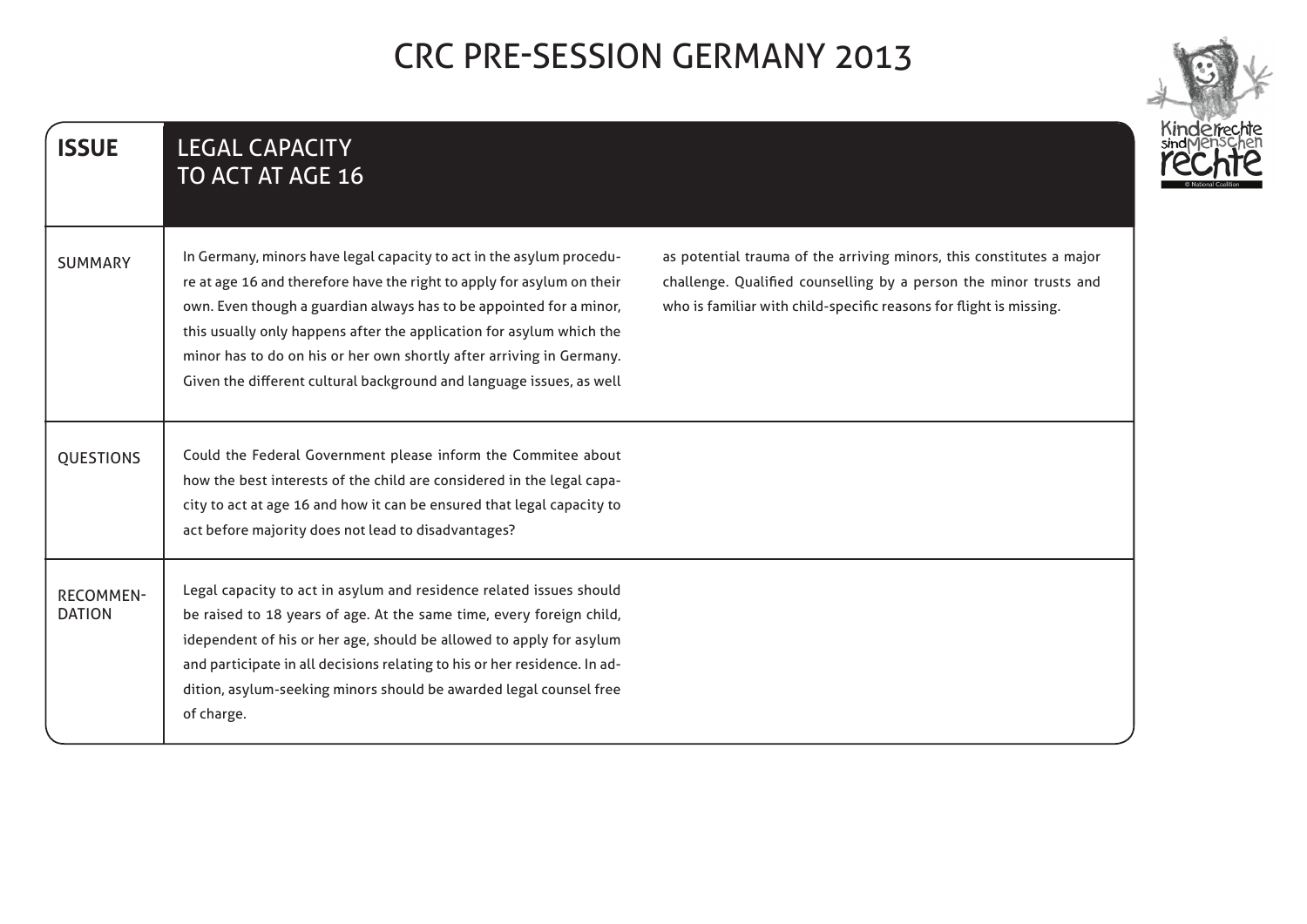| <b>ISSUE</b>                      | <b>LEGAL CAPACITY</b><br>TO ACT AT AGE 16                                                                                                                                                                                                                                                                                                                                                                                                                                                                                                                                                                                                                        |
|-----------------------------------|------------------------------------------------------------------------------------------------------------------------------------------------------------------------------------------------------------------------------------------------------------------------------------------------------------------------------------------------------------------------------------------------------------------------------------------------------------------------------------------------------------------------------------------------------------------------------------------------------------------------------------------------------------------|
| <b>SUMMARY</b>                    | In Germany, minors have legal capacity to act in the asylum procedu-<br>as potential trauma of the arriving minors, this constitutes a major<br>re at age 16 and therefore have the right to apply for asylum on their<br>challenge. Qualified counselling by a person the minor trusts and<br>who is familiar with child-specific reasons for flight is missing.<br>own. Even though a guardian always has to be appointed for a minor,<br>this usually only happens after the application for asylum which the<br>minor has to do on his or her own shortly after arriving in Germany.<br>Given the different cultural background and language issues, as well |
| <b>QUESTIONS</b>                  | Could the Federal Government please inform the Commitee about<br>how the best interests of the child are considered in the legal capa-<br>city to act at age 16 and how it can be ensured that legal capacity to<br>act before majority does not lead to disadvantages?                                                                                                                                                                                                                                                                                                                                                                                          |
| <b>RECOMMEN-</b><br><b>DATION</b> | Legal capacity to act in asylum and residence related issues should<br>be raised to 18 years of age. At the same time, every foreign child,<br>idependent of his or her age, should be allowed to apply for asylum<br>and participate in all decisions relating to his or her residence. In ad-<br>dition, asylum-seeking minors should be awarded legal counsel free<br>of charge.                                                                                                                                                                                                                                                                              |

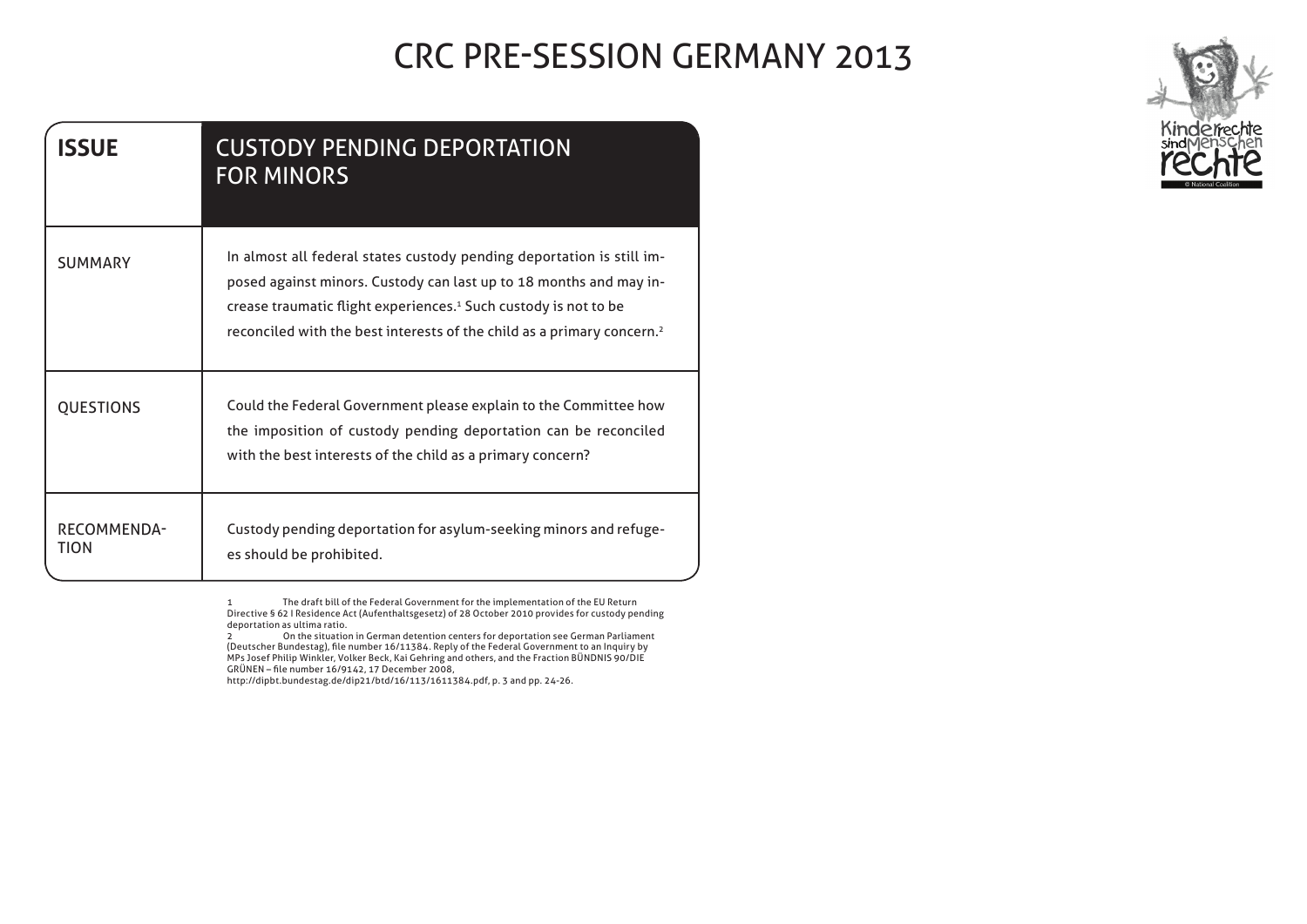| <b>ISSUE</b>        | <b>CUSTODY PENDING DEPORTATION</b><br><b>FOR MINORS</b>                                                                                                                                                                                                                                                          |
|---------------------|------------------------------------------------------------------------------------------------------------------------------------------------------------------------------------------------------------------------------------------------------------------------------------------------------------------|
| <b>SUMMARY</b>      | In almost all federal states custody pending deportation is still im-<br>posed against minors. Custody can last up to 18 months and may in-<br>crease traumatic flight experiences. <sup>1</sup> Such custody is not to be<br>reconciled with the best interests of the child as a primary concern. <sup>2</sup> |
| <b>QUESTIONS</b>    | Could the Federal Government please explain to the Committee how<br>the imposition of custody pending deportation can be reconciled<br>with the best interests of the child as a primary concern?                                                                                                                |
| RECOMMENDA-<br>TION | Custody pending deportation for asylum-seeking minors and refuge-<br>es should be prohibited.                                                                                                                                                                                                                    |

1 The draft bill of the Federal Government for the implementation of the EU Return Directive § 62 | Residence Act (Aufenthaltsgesetz) of 28 October 2010 provides for custody pending deportation as ultima ratio.

 Parliament German see deportation for centers detention German in situation the On 2 by Inquiry an to Government Federal the of Reply 16/11384. number file ,)Bundestag Deutscher( DIE90/ BÜNDNIS Fraction the and ,others and Gehring Kai ,Beck Volker' Winkler Philip Josef MPs GRÜNEN – file number 16/9142, 17 December 2008,

http://dipbt.bundestag.de/dip21/btd/16/113/1611384.pdf, p. 3 and pp. 24-26.

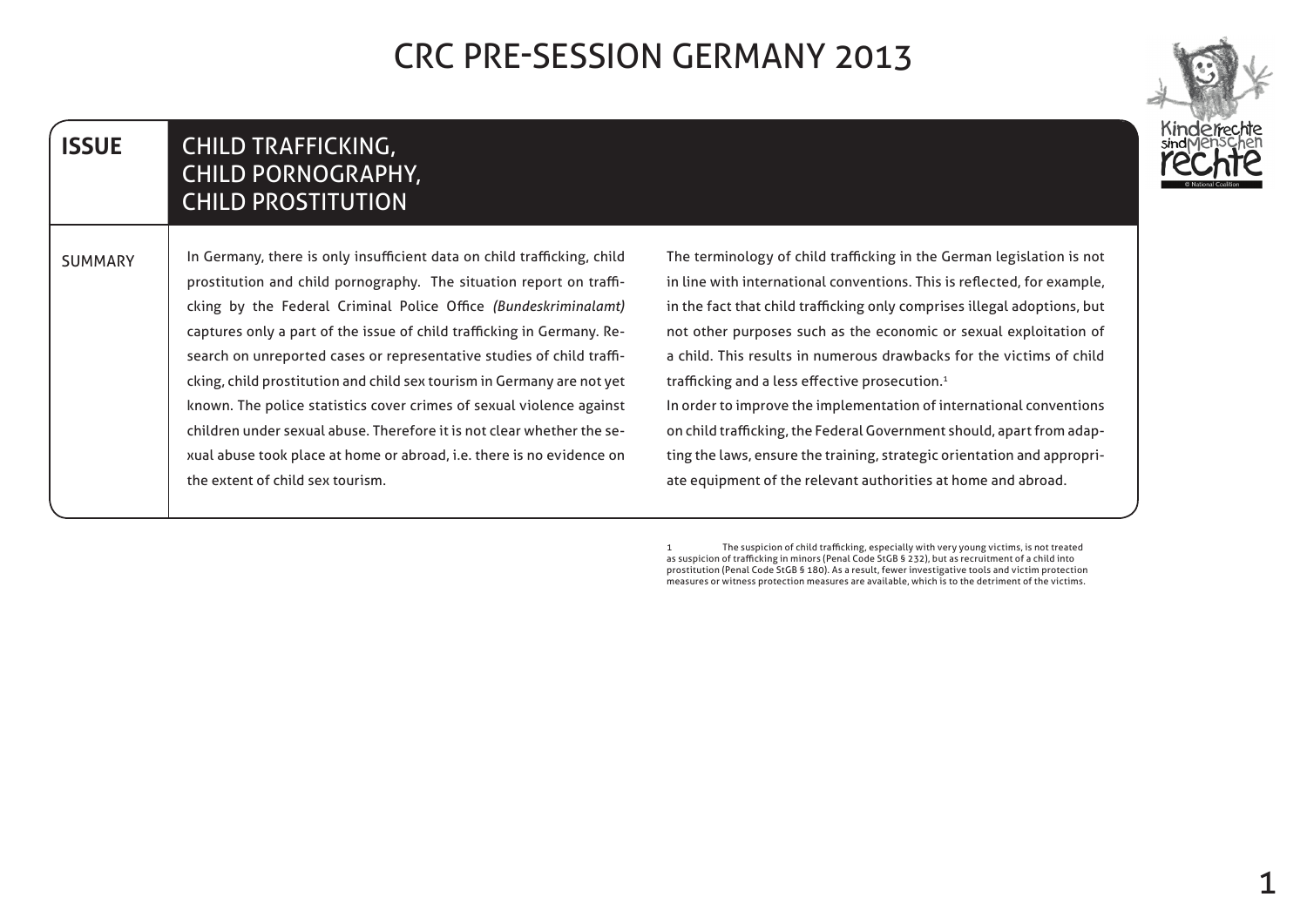

#### **CHILD TRAFFICKING,** CHILD PORNOGRAPHY, **CHILD PROSTITUTION ISSUE**

In Germany, there is only insufficient data on child trafficking, child cking by the Federal Criminal Police Office (Bundeskriminalamt) prostitution and child pornography. The situation report on trafficking, child prostitution and child sex tourism in Germany are not yet search on unreported cases or representative studies of child trafficaptures only a part of the issue of child trafficking in Germany. Reknown. The police statistics cover crimes of sexual violence against xual abuse took place at home or abroad, i.e. there is no evidence on children under sexual abuse. Therefore it is not clear whether the sethe extent of child sex tourism. **SUMMARY** 

The terminology of child trafficking in the German legislation is not in line with international conventions. This is reflected, for example, in the fact that child trafficking only comprises illegal adoptions, but not other purposes such as the economic or sexual exploitation of a child. This results in numerous drawbacks for the victims of child trafficking and a less effective prosecution.<sup>1</sup>

In order to improve the implementation of international conventions ting the laws, ensure the training, strategic orientation and appropri-<br>ate equipment of the relevant authorities at home and abroad. on child trafficking, the Federal Government should, apart from adap-<br>ting the laws, ensure the training, strategic orientation and approprion child trafficking, the Federal Government should, apart from adap-

The suspicion of child trafficking, especially with very young victims, is not treated as suspicion of trafficking in minors (Penal Code StGB § 232), but as recruitment of a child into prostitution (Penal Code StGB § 180). As a result, fewer investigative tools and victim protection measures or witness protection measures are available, which is to the detriment of the victims.